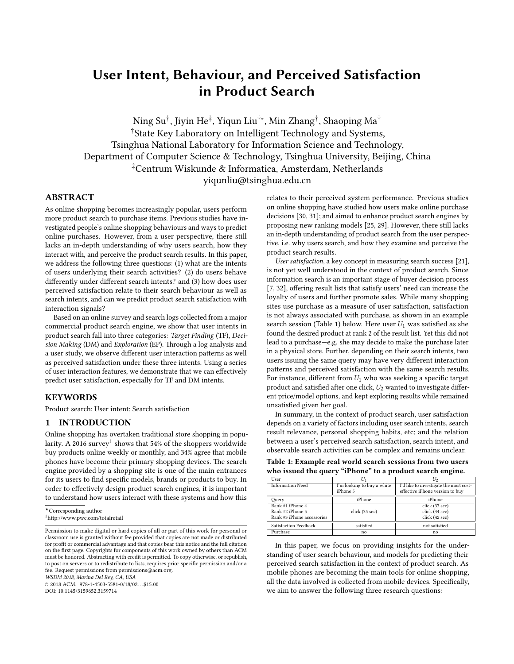# User Intent, Behaviour, and Perceived Satisfaction in Product Search

Ning Su<sup>†</sup>, Jiyin He<sup>‡</sup>, Yiqun Liu<sup>†</sup>\*, Min Zhang<sup>†</sup>, Shaoping Ma<sup>†</sup> †State Key Laboratory on Intelligent Technology and Systems, Tsinghua National Laboratory for Information Science and Technology, Department of Computer Science & Technology, Tsinghua University, Beijing, China ‡Centrum Wiskunde & Informatica, Amsterdam, Netherlands yiqunliu@tsinghua.edu.cn

# ABSTRACT

As online shopping becomes increasingly popular, users perform more product search to purchase items. Previous studies have investigated people's online shopping behaviours and ways to predict online purchases. However, from a user perspective, there still lacks an in-depth understanding of why users search, how they interact with, and perceive the product search results. In this paper, we address the following three questions: (1) what are the intents of users underlying their search activities? (2) do users behave differently under different search intents? and (3) how does user perceived satisfaction relate to their search behaviour as well as search intents, and can we predict product search satisfaction with interaction signals?

Based on an online survey and search logs collected from a major commercial product search engine, we show that user intents in product search fall into three categories: Target Finding (TF), Decision Making (DM) and Exploration (EP). Through a log analysis and a user study, we observe different user interaction patterns as well as perceived satisfaction under these three intents. Using a series of user interaction features, we demonstrate that we can effectively predict user satisfaction, especially for TF and DM intents.

#### KEYWORDS

Product search; User intent; Search satisfaction

# 1 INTRODUCTION

Online shopping has overtaken traditional store shopping in popularity. A 2016 survey<sup>1</sup> shows that 54% of the shoppers worldwide buy products online weekly or monthly, and 34% agree that mobile phones have become their primary shopping devices. The search engine provided by a shopping site is one of the main entrances for its users to find specific models, brands or products to buy. In order to effectively design product search engines, it is important to understand how users interact with these systems and how this

WSDM 2018, Marina Del Rey, CA, USA

© 2018 ACM. 978-1-4503-5581-0/18/02. . . \$15.00 DOI: 10.1145/3159652.3159714

relates to their perceived system performance. Previous studies on online shopping have studied how users make online purchase decisions [\[30,](#page-8-0) [31\]](#page-8-1); and aimed to enhance product search engines by proposing new ranking models [\[25,](#page-8-2) [29\]](#page-8-3). However, there still lacks an in-depth understanding of product search from the user perspective, i.e. why users search, and how they examine and perceive the product search results.

User satisfaction, a key concept in measuring search success [\[21\]](#page-8-4), is not yet well understood in the context of product search. Since information search is an important stage of buyer decision process [\[7,](#page-8-5) [32\]](#page-8-6), offering result lists that satisfy users' need can increase the loyalty of users and further promote sales. While many shopping sites use purchase as a measure of user satisfaction, satisfaction is not always associated with purchase, as shown in an example search session (Table [1\)](#page-0-0) below. Here user  $U_1$  was satisfied as she found the desired product at rank 2 of the result list. Yet this did not lead to a purchase—e.g. she may decide to make the purchase later in a physical store. Further, depending on their search intents, two users issuing the same query may have very different interaction patterns and perceived satisfaction with the same search results. For instance, different from  $U_1$  who was seeking a specific target product and satisfied after one click,  $U_2$  wanted to investigate different price/model options, and kept exploring results while remained unsatisfied given her goal.

In summary, in the context of product search, user satisfaction depends on a variety of factors including user search intents, search result relevance, personal shopping habits, etc; and the relation between a user's perceived search satisfaction, search intent, and observable search activities can be complex and remains unclear.

<span id="page-0-0"></span>Table 1: Example real world search sessions from two users who issued the query "iPhone" to a product search engine.

| User                       |                            | U2                                     |
|----------------------------|----------------------------|----------------------------------------|
| <b>Information Need</b>    | I'm looking to buy a white | I'd like to investigate the most cost- |
|                            | iPhone 5                   | effective iPhone version to buy        |
| Ouery                      | iPhone                     | iPhone                                 |
| Rank #1 iPhone 4           |                            | click (37 sec)                         |
| Rank #2 iPhone 5           | click (35 sec)             | click (44 sec)                         |
| Rank #3 iPhone accessories |                            | click (42 sec)                         |
| Satisfaction Feedback      | satisfied                  | not satisfied                          |
|                            |                            |                                        |
| Purchase                   | no                         | no                                     |

In this paper, we focus on providing insights for the understanding of user search behaviour, and models for predicting their perceived search satisfaction in the context of product search. As mobile phones are becoming the main tools for online shopping, all the data involved is collected from mobile devices. Specifically, we aim to answer the following three research questions:

 $\star$  Corresponding author

<sup>&</sup>lt;sup>1</sup>http://www.pwc.com/totalretail

Permission to make digital or hard copies of all or part of this work for personal or classroom use is granted without fee provided that copies are not made or distributed for profit or commercial advantage and that copies bear this notice and the full citation on the first page. Copyrights for components of this work owned by others than ACM must be honored. Abstracting with credit is permitted. To copy otherwise, or republish, to post on servers or to redistribute to lists, requires prior specific permission and/or a fee. Request permissions from permissions@acm.org.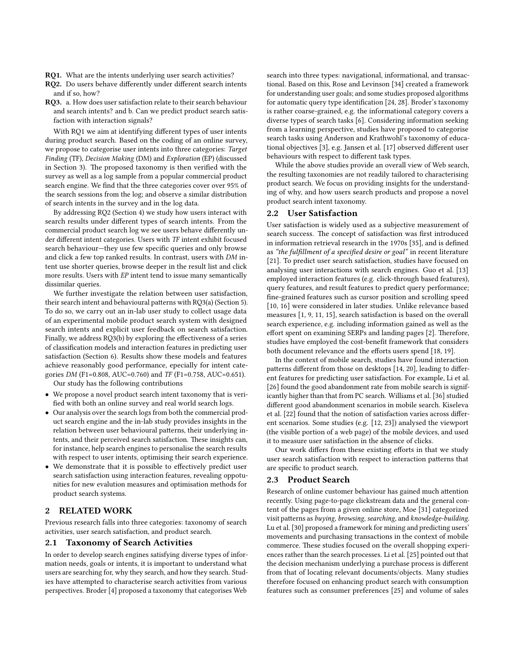RQ1. What are the intents underlying user search activities?

- RQ2. Do users behave differently under different search intents and if so, how?
- RQ3. a. How does user satisfaction relate to their search behaviour and search intents? and b. Can we predict product search satisfaction with interaction signals?

With RQ1 we aim at identifying different types of user intents during product search. Based on the coding of an online survey, we propose to categorise user intents into three categories: Target Finding (TF), Decision Making (DM) and Exploration (EP) (discussed in Section [3\)](#page-2-0). The proposed taxonomy is then verified with the survey as well as a log sample from a popular commercial product search engine. We find that the three categories cover over 95% of the search sessions from the log; and observe a similar distribution of search intents in the survey and in the log data.

By addressing RQ2 (Section [4\)](#page-3-0) we study how users interact with search results under different types of search intents. From the commercial product search log we see users behave differently under different intent categories. Users with TF intent exhibit focused search behaviour-they use few specific queries and only browse and click a few top ranked results. In contrast, users with DM intent use shorter queries, browse deeper in the result list and click more results. Users with EP intent tend to issue many semantically dissimilar queries.

We further investigate the relation between user satisfaction, their search intent and behavioural patterns with RQ3(a) (Section [5\)](#page-4-0). To do so, we carry out an in-lab user study to collect usage data of an experimental mobile product search system with designed search intents and explicit user feedback on search satisfaction. Finally, we address RQ3(b) by exploring the effectiveness of a series of classification models and interaction features in predicting user satisfaction (Section [6\)](#page-6-0). Results show these models and features achieve reasonably good performance, epecially for intent categories DM (F1=0.808, AUC=0.760) and TF (F1=0.758, AUC=0.651).

Our study has the following contributions

- We propose a novel product search intent taxonomy that is veri fied with both an online survey and real world search logs.
- Our analysis over the search logs from both the commercial product search engine and the in-lab study provides insights in the relation between user behavioural patterns, their underlying intents, and their perceived search satisfaction. These insights can, for instance, help search engines to personalise the search results with respect to user intents, optimising their search experience.
- We demonstrate that it is possible to effectively predict user search satisfaction using interaction features, revealing oppotunities for new evalution measures and optimisation methods for product search systems.

# 2 RELATED WORK

Previous research falls into three categories: taxonomy of search activities, user search satisfaction, and product search.

## 2.1 Taxonomy of Search Activities

In order to develop search engines satisfying diverse types of information needs, goals or intents, it is important to understand what users are searching for, why they search, and how they search. Studies have attempted to characterise search activities from various perspectives. Broder [\[4\]](#page-8-7) proposed a taxonomy that categorises Web

search into three types: navigational, informational, and transactional. Based on this, Rose and Levinson [\[34\]](#page-8-8) created a framework for understanding user goals; and some studies proposed algorithms for automatic query type identification [\[24,](#page-8-9) [28\]](#page-8-10). Broder's taxonomy is rather coarse-grained, e.g. the informational category covers a diverse types of search tasks [\[6\]](#page-8-11). Considering information seeking from a learning perspective, studies have proposed to categorise search tasks using Anderson and Krathwohl's taxonomy of educa-tional objectives [\[3\]](#page-8-12), e.g. Jansen et al. [\[17\]](#page-8-13) observed different user behaviours with respect to different task types.

While the above studies provide an overall view of Web search, the resulting taxonomies are not readily tailored to characterising product search. We focus on providing insights for the understanding of why, and how users search products and propose a novel product search intent taxonomy.

#### 2.2 User Satisfaction

User satisfaction is widely used as a subjective measurement of search success. The concept of satisfaction was first introduced in information retrieval research in the 1970s [\[35\]](#page-8-14), and is defined as "the fulfillment of a specified desire or goal" in recent literature [\[21\]](#page-8-4). To predict user search satisfaction, studies have focused on analysing user interactions with search engines. Guo et al. [\[13\]](#page-8-15) employed interaction features (e.g. click-through based features), query features, and result features to predict query performance; fine-grained features such as cursor position and scrolling speed [\[10,](#page-8-16) [16\]](#page-8-17) were considered in later studies. Unlike relevance based measures [\[1,](#page-8-18) [9,](#page-8-19) [11,](#page-8-20) [15\]](#page-8-21), search satisfaction is based on the overall search experience, e.g. including information gained as well as the effort spent on examining SERPs and landing pages [\[2\]](#page-8-22). Therefore, studies have employed the cost-benefit framework that considers both document relevance and the efforts users spend [\[18,](#page-8-23) [19\]](#page-8-24).

In the context of mobile search, studies have found interaction patterns different from those on desktops [\[14,](#page-8-25) [20\]](#page-8-26), leading to different features for predicting user satisfaction. For example, Li et al. [\[26\]](#page-8-27) found the good abandonment rate from mobile search is significantly higher than that from PC search. Williams et al. [\[36\]](#page-8-28) studied different good abandonment scenarios in mobile search. Kiseleva et al. [\[22\]](#page-8-29) found that the notion of satisfaction varies across different scenarios. Some studies (e.g. [\[12,](#page-8-30) [23\]](#page-8-31)) analysed the viewport (the visible portion of a web page) of the mobile devices, and used it to measure user satisfaction in the absence of clicks.

Our work differs from these existing efforts in that we study user search satisfaction with respect to interaction patterns that are specific to product search.

#### 2.3 Product Search

Research of online customer behaviour has gained much attention recently. Using page-to-page clickstream data and the general content of the pages from a given online store, Moe [\[31\]](#page-8-1) categorized visit patterns as buying, browsing, searching, and knowledge-building. Lu et al. [\[30\]](#page-8-0) proposed a framework for mining and predicting users' movements and purchasing transactions in the context of mobile commerce. These studies focused on the overall shopping experiences rather than the search processes. Li et al. [\[25\]](#page-8-2) pointed out that the decision mechanism underlying a purchase process is different from that of locating relevant documents/objects. Many studies therefore focused on enhancing product search with consumption features such as consumer preferences [\[25\]](#page-8-2) and volume of sales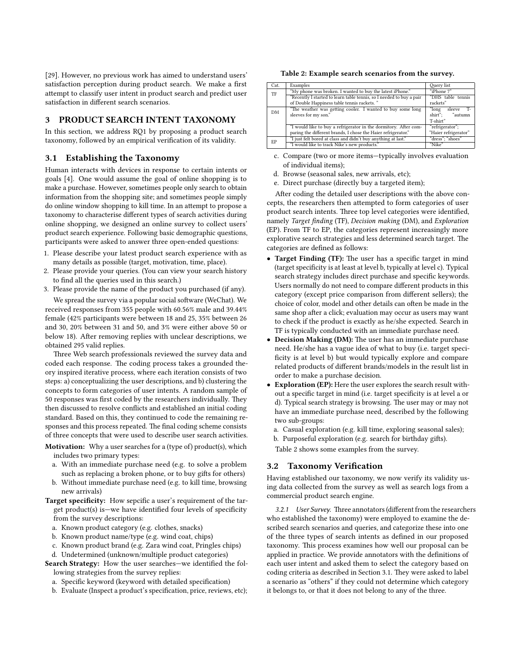[\[29\]](#page-8-3). However, no previous work has aimed to understand users' satisfaction perception during product search. We make a first attempt to classify user intent in product search and predict user satisfaction in different search scenarios.

# <span id="page-2-0"></span>3 PRODUCT SEARCH INTENT TAXONOMY

In this section, we address RQ1 by proposing a product search taxonomy, followed by an empirical verification of its validity.

# <span id="page-2-2"></span>3.1 Establishing the Taxonomy

Human interacts with devices in response to certain intents or goals [\[4\]](#page-8-7). One would assume the goal of online shopping is to make a purchase. However, sometimes people only search to obtain information from the shopping site; and sometimes people simply do online window shopping to kill time. In an attempt to propose a taxonomy to characterise different types of search activities during online shopping, we designed an online survey to collect users' product search experience. Following basic demographic questions, participants were asked to answer three open-ended questions:

- 1. Please describe your latest product search experience with as many details as possible (target, motivation, time, place).
- 2. Please provide your queries. (You can view your search history to find all the queries used in this search.)
- 3. Please provide the name of the product you purchased (if any).

We spread the survey via a popular social software (WeChat). We received responses from 355 people with 60.56% male and 39.44% female (42% participants were between 18 and 25, 35% between 26 and 30, 20% between 31 and 50, and 3% were either above 50 or below 18). After removing replies with unclear descriptions, we obtained 295 valid replies.

Three Web search professionals reviewed the survey data and coded each response. The coding process takes a grounded theory inspired iterative process, where each iteration consists of two steps: a) conceptualizing the user descriptions, and b) clustering the concepts to form categories of user intents. A random sample of 50 responses was first coded by the researchers individually. They then discussed to resolve conflicts and established an initial coding standard. Based on this, they continued to code the remaining responses and this process repeated. The final coding scheme consists of three concepts that were used to describe user search activities.

Motivation: Why a user searches for a (type of) product(s), which includes two primary types:

- a. With an immediate purchase need (e.g. to solve a problem such as replacing a broken phone, or to buy gifts for others)
- b. Without immediate purchase need (e.g. to kill time, browsing new arrivals)
- Target specificity: How sepcific a user's requirement of the target product(s) is—we have identified four levels of specificity from the survey descriptions:
	- a. Known product category (e.g. clothes, snacks)
	- b. Known product name/type (e.g. wind coat, chips)
	- c. Known product brand (e.g. Zara wind coat, Pringles chips)
	- d. Undetermined (unknown/multiple product categories)
- Search Strategy: How the user searches-we identified the following strategies from the survey replies:
	- a. Specific keyword (keyword with detailed specification)
	- b. Evaluate (Inspect a product's specification, price, reviews, etc);

<span id="page-2-1"></span>

| Table 2: Example search scenarios from the survey. |  |
|----------------------------------------------------|--|
|----------------------------------------------------|--|

| Cat. | Examples                                                             | Ouery list           |  |  |  |
|------|----------------------------------------------------------------------|----------------------|--|--|--|
| TF   | "My phone was broken. I wanted to buy the latest iPhone."            | "iPhone 7"           |  |  |  |
|      | "Recently I started to learn table tennis, so I needed to buy a pair | "DHS table tennis    |  |  |  |
|      | of Double Happiness table tennis rackets."                           | rackets"             |  |  |  |
| DM   | "The weather was getting cooler. I wanted to buy some long           | "long<br>sleeve T-   |  |  |  |
|      | sleeves for my son."                                                 | shirt": "autumn      |  |  |  |
|      |                                                                      | T-shirt"             |  |  |  |
|      | "I would like to buy a refrigerator in the dormitory. After com-     | "refrigerator";      |  |  |  |
|      | paring the different brands, I chose the Haier refrigerator."        | "Haier refrigerator" |  |  |  |
| EP   | "I just felt bored at class and didn't buy anything at last."        | "dress"; "shoes"     |  |  |  |
|      | "I would like to track Nike's new products."                         | "Nike"               |  |  |  |

- c. Compare (two or more items—typically involves evaluation of individual items);
- d. Browse (seasonal sales, new arrivals, etc);
- e. Direct purchase (directly buy a targeted item);

After coding the detailed user descriptions with the above concepts, the researchers then attempted to form categories of user product search intents. Three top level categories were identified, namely Target finding (TF), Decision making (DM), and Exploration (EP). From TF to EP, the categories represent increasingly more explorative search strategies and less determined search target. The categories are defined as follows:

- Target Finding (TF): The user has a specific target in mind (target specificity is at least at level b, typically at level c). Typical search strategy includes direct purchase and specific keywords. Users normally do not need to compare different products in this category (except price comparison from different sellers); the choice of color, model and other details can often be made in the same shop after a click; evaluation may occur as users may want to check if the product is exactly as he/she expected. Search in TF is typically conducted with an immediate purchase need.
- Decision Making (DM): The user has an immediate purchase need. He/she has a vague idea of what to buy (i.e. target speci ficity is at level b) but would typically explore and compare related products of different brands/models in the result list in order to make a purchase decision.
- Exploration (EP): Here the user explores the search result without a specific target in mind (i.e. target specificity is at level a or d). Typical search strategy is browsing. The user may or may not have an immediate purchase need, described by the following two sub-groups:
	- a. Casual exploration (e.g. kill time, exploring seasonal sales);
	- b. Purposeful exploration (e.g. search for birthday gifts).

Table [2](#page-2-1) shows some examples from the survey.

# 3.2 Taxonomy Verification

Having established our taxonomy, we now verify its validity using data collected from the survey as well as search logs from a commercial product search engine.

<span id="page-2-3"></span>3.2.1 User Survey. Three annotators (different from the researchers who established the taxonomy) were employed to examine the described search scenarios and queries, and categorize these into one of the three types of search intents as defined in our proposed taxonomy. This process examines how well our proposal can be applied in practice. We provide annotators with the definitions of each user intent and asked them to select the category based on coding criteria as described in Section [3.1.](#page-2-2) They were asked to label a scenario as "others" if they could not determine which category it belongs to, or that it does not belong to any of the three.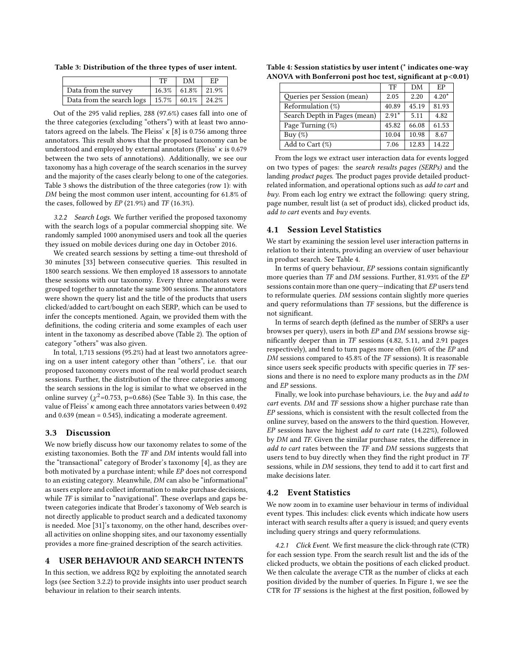<span id="page-3-1"></span>Table 3: Distribution of the three types of user intent.

|                                                        | TF | DM                       | EP |
|--------------------------------------------------------|----|--------------------------|----|
| Data from the survey                                   |    | $16.3\%$   61.8%   21.9% |    |
| Data from the search logs   $15.7\%$   60.1\%   24.2\% |    |                          |    |

Out of the 295 valid replies, 288 (97.6%) cases fall into one of the three categories (excluding "others") with at least two annotators agreed on the labels. The Fleiss'  $\kappa$  [\[8\]](#page-8-32) is 0.756 among three annotators. This result shows that the proposed taxonomy can be understood and employed by external annotators (Fleiss'  $\kappa$  is 0.679 between the two sets of annotations). Additionally, we see our taxonomy has a high coverage of the search scenarios in the survey and the majority of the cases clearly belong to one of the categories. Table [3](#page-3-1) shows the distribution of the three categories (row 1): with DM being the most common user intent, accounting for 61.8% of the cases, followed by  $EP$  (21.9%) and  $TF$  (16.3%).

<span id="page-3-2"></span>3.2.2 Search Logs. We further verified the proposed taxonomy with the search logs of a popular commercial shopping site. We randomly sampled 1000 anonymised users and took all the queries they issued on mobile devices during one day in October 2016.

We created search sessions by setting a time-out threshold of 30 minutes [\[33\]](#page-8-33) between consecutive queries. This resulted in 1800 search sessions. We then employed 18 assessors to annotate these sessions with our taxonomy. Every three annotators were grouped together to annotate the same 300 sessions. The annotators were shown the query list and the title of the products that users clicked/added to cart/bought on each SERP, which can be used to infer the concepts mentioned. Again, we provided them with the definitions, the coding criteria and some examples of each user intent in the taxonomy as described above (Table [2\)](#page-2-1). The option of category "others" was also given.

In total, 1,713 sessions (95.2%) had at least two annotators agreeing on a user intent category other than "others", i.e. that our proposed taxonomy covers most of the real world product search sessions. Further, the distribution of the three categories among the search sessions in the log is similar to what we observed in the online survey ( $\chi^2$ =0.753, p=0.686) (See Table [3\)](#page-3-1). In this case, the value of Fleiss'  $\kappa$  among each three annotators varies between 0.492 value of Fleiss' κ among each three annotators varies between 0.492 and 0.639 (mean = 0.545), indicating a moderate agreement.

#### 3.3 Discussion

We now briefly discuss how our taxonomy relates to some of the existing taxonomies. Both the TF and DM intents would fall into the "transactional" category of Broder's taxonomy [\[4\]](#page-8-7), as they are both motivated by a purchase intent; while EP does not correspond to an existing category. Meanwhile, DM can also be "informational" as users explore and collect information to make purchase decisions, while  $TF$  is similar to "navigational". These overlaps and gaps between categories indicate that Broder's taxonomy of Web search is not directly applicable to product search and a dedicated taxonomy is needed. Moe [\[31\]](#page-8-1)'s taxonomy, on the other hand, describes overall activities on online shopping sites, and our taxonomy essentially provides a more fine-grained description of the search activities.

# <span id="page-3-0"></span>4 USER BEHAVIOUR AND SEARCH INTENTS

In this section, we address RQ2 by exploiting the annotated search logs (see Section [3.2.2\)](#page-3-2) to provide insights into user product search behaviour in relation to their search intents.

<span id="page-3-3"></span>

| Table 4: Session statistics by user intent (* indicates one-way |  |                   |  |
|-----------------------------------------------------------------|--|-------------------|--|
| ANOVA with Bonferroni post hoc test, significant at $p<0.01$ )  |  |                   |  |
|                                                                 |  | $\pi$ $\pi$ $\pi$ |  |

|                              | TF      | DM    | EP      |
|------------------------------|---------|-------|---------|
| Queries per Session (mean)   | 2.05    | 2.20  | $4.20*$ |
| Reformulation $(\%)$         | 40.89   | 45.19 | 81.93   |
| Search Depth in Pages (mean) | $2.91*$ | 5.11  | 4.82    |
| Page Turning (%)             | 45.82   | 66.08 | 61.53   |
| Buy $(\%)$                   | 10.04   | 10.98 | 8.67    |
| Add to Cart $(\%)$           | 7.06    | 12.83 | 14.22   |

From the logs we extract user interaction data for events logged on two types of pages: the search results pages (SERPs) and the landing product pages. The product pages provide detailed productrelated information, and operational options such as add to cart and buy. From each log entry we extract the following: query string, page number, result list (a set of product ids), clicked product ids, add to cart events and buy events.

## <span id="page-3-4"></span>4.1 Session Level Statistics

We start by examining the session level user interaction patterns in relation to their intents, providing an overview of user behaviour in product search. See Table [4.](#page-3-3)

In terms of query behaviour, EP sessions contain significantly more queries than TF and DM sessions. Further, 81.93% of the EP sessions contain more than one query—indicating that EP users tend to reformulate queries. DM sessions contain slightly more queries and query reformulations than  $TF$  sessions, but the difference is not significant.

In terms of search depth (defined as the number of SERPs a user browses per query), users in both EP and DM sessions browse significantly deeper than in TF sessions (4.82, 5.11, and 2.91 pages respectively), and tend to turn pages more often (60% of the  $EP$  and DM sessions compared to 45.8% of the TF sessions). It is reasonable since users seek specific products with specific queries in TF sessions and there is no need to explore many products as in the DM and EP sessions.

Finally, we look into purchase behaviours, i.e. the buy and add to cart events. DM and TF sessions show a higher purchase rate than EP sessions, which is consistent with the result collected from the online survey, based on the answers to the third question. However, EP sessions have the highest add to cart rate (14.22%), followed by DM and TF. Given the similar purchase rates, the difference in add to cart rates between the TF and DM sessions suggests that users tend to buy directly when they find the right product in TF sessions, while in DM sessions, they tend to add it to cart first and make decisions later.

#### 4.2 Event Statistics

We now zoom in to examine user behaviour in terms of individual event types. This includes: click events which indicate how users interact with search results after a query is issued; and query events including query strings and query reformulations.

4.2.1 Click Event. We first measure the click-through rate  $(CTR)$ for each session type. From the search result list and the ids of the clicked products, we obtain the positions of each clicked product. We then calculate the average CTR as the number of clicks at each position divided by the number of queries. In Figure [1,](#page-4-1) we see the CTR for TF sessions is the highest at the first position, followed by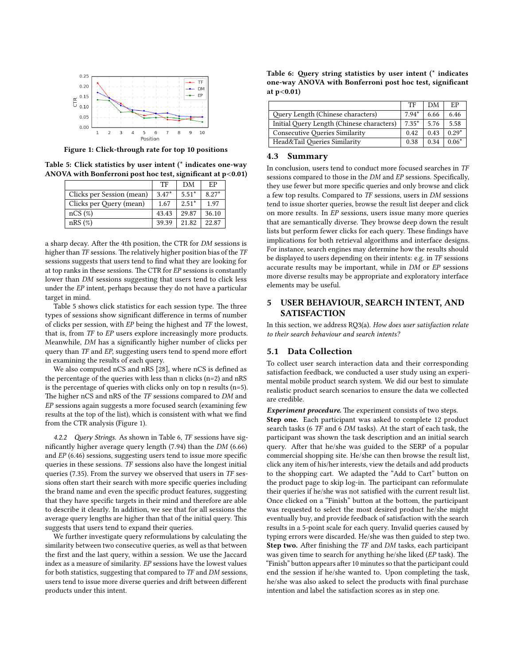<span id="page-4-1"></span>

Figure 1: Click-through rate for top 10 positions

<span id="page-4-2"></span>Table 5: Click statistics by user intent (\* indicates one-way ANOVA with Bonferroni post hoc test, significant at  $p<0.01$ )

|                           | TF      | DM      | EP      |
|---------------------------|---------|---------|---------|
| Clicks per Session (mean) | $3.47*$ | $5.51*$ | $8.27*$ |
| Clicks per Query (mean)   | 1.67    | $2.51*$ | 1.97    |
| nCS(%)                    | 43.43   | 29.87   | 36.10   |
| $nRS(\%)$                 | 39.39   | 21.82   | 22.87   |

a sharp decay. After the 4th position, the CTR for DM sessions is higher than TF sessions. The relatively higher position bias of the TF sessions suggests that users tend to find what they are looking for at top ranks in these sessions. The CTR for  $EP$  sessions is constantly lower than DM sessions suggesting that users tend to click less under the EP intent, perhaps because they do not have a particular target in mind.

Table [5](#page-4-2) shows click statistics for each session type. The three types of sessions show significant difference in terms of number of clicks per session, with EP being the highest and TF the lowest, that is, from TF to EP users explore increasingly more products. Meanwhile, DM has a significantly higher number of clicks per query than TF and EP, suggesting users tend to spend more effort in examining the results of each query.

We also computed nCS and nRS [\[28\]](#page-8-10), where nCS is defined as the percentage of the queries with less than n clicks (n=2) and nRS is the percentage of queries with clicks only on top n results  $(n=5)$ . The higher nCS and nRS of the TF sessions compared to DM and EP sessions again suggests a more focused search (examining few results at the top of the list), which is consistent with what we find from the CTR analysis (Figure [1\)](#page-4-1).

4.2.2 Query Strings. As shown in Table [6,](#page-4-3) TF sessions have significantly higher average query length  $(7.94)$  than the  $DM$   $(6.66)$ and  $EP$  (6.46) sessions, suggesting users tend to issue more specific queries in these sessions. TF sessions also have the longest initial queries (7.35). From the survey we observed that users in TF sessions often start their search with more specific queries including the brand name and even the specific product features, suggesting that they have specific targets in their mind and therefore are able to describe it clearly. In addition, we see that for all sessions the average query lengths are higher than that of the initial query. This suggests that users tend to expand their queries.

We further investigate query reformulations by calculating the similarity between two consecutive queries, as well as that between the first and the last query, within a session. We use the Jaccard index as a measure of similarity. EP sessions have the lowest values for both statistics, suggesting that compared to TF and DM sessions, users tend to issue more diverse queries and drift between different products under this intent.

<span id="page-4-3"></span>Table 6: Ouery string statistics by user intent  $(*$  indicates one-way ANOVA with Bonferroni post hoc test, significant at p<0.01)

|                                           | TF      | DМ   | EP      |
|-------------------------------------------|---------|------|---------|
| Query Length (Chinese characters)         | $7.94*$ | 6.66 | 6.46    |
| Initial Query Length (Chinese characters) | $7.35*$ | 5.76 | 5.58    |
| <b>Consecutive Oueries Similarity</b>     | 0.42    | 0.43 | $0.29*$ |
| Head&Tail Queries Similarity              | 0.38    | 0.34 | $0.06*$ |

#### 4.3 Summary

In conclusion, users tend to conduct more focused searches in TF sessions compared to those in the DM and EP sessions. Specifically, they use fewer but more specific queries and only browse and click a few top results. Compared to TF sessions, users in DM sessions tend to issue shorter queries, browse the result list deeper and click on more results. In EP sessions, users issue many more queries that are semantically diverse. They browse deep down the result lists but perform fewer clicks for each query. These findings have implications for both retrieval algorithms and interface designs. For instance, search engines may determine how the results should be displayed to users depending on their intents: e.g. in TF sessions accurate results may be important, while in DM or EP sessions more diverse results may be appropriate and exploratory interface elements may be useful.

# <span id="page-4-0"></span>5 USER BEHAVIOUR, SEARCH INTENT, AND **SATISFACTION**

In this section, we address RQ3(a). How does user satisfaction relate to their search behaviour and search intents?

#### 5.1 Data Collection

To collect user search interaction data and their corresponding satisfaction feedback, we conducted a user study using an experimental mobile product search system. We did our best to simulate realistic product search scenarios to ensure the data we collected are credible.

Experiment procedure. The experiment consists of two steps.

Step one. Each participant was asked to complete 12 product search tasks (6 TF and 6 DM tasks). At the start of each task, the participant was shown the task description and an initial search query. After that he/she was guided to the SERP of a popular commercial shopping site. He/she can then browse the result list, click any item of his/her interests, view the details and add products to the shopping cart. We adapted the "Add to Cart" button on the product page to skip log-in. The participant can reformulate their queries if he/she was not satisfied with the current result list. Once clicked on a "Finish" button at the bottom, the participant was requested to select the most desired product he/she might eventually buy, and provide feedback of satisfaction with the search results in a 5-point scale for each query. Invalid queries caused by typing errors were discarded. He/she was then guided to step two. Step two. After finishing the TF and DM tasks, each participant was given time to search for anything he/she liked  $(EP$  task). The "Finish" button appears after 10 minutes so that the participant could end the session if he/she wanted to. Upon completing the task, he/she was also asked to select the products with final purchase intention and label the satisfaction scores as in step one.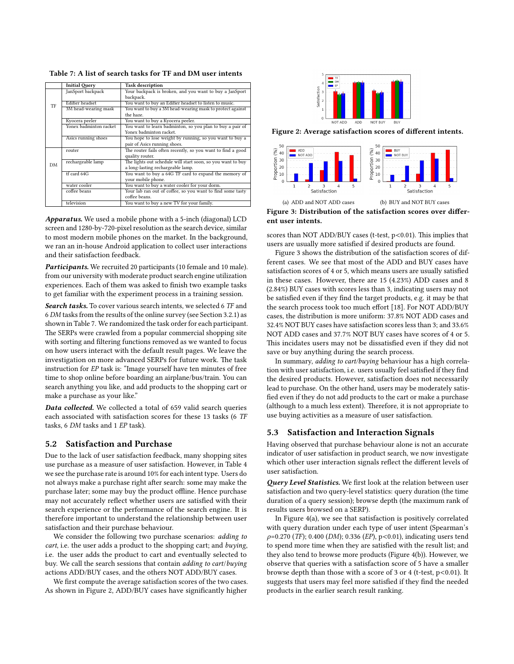<span id="page-5-0"></span>Table 7: A list of search tasks for TF and DM user intents

|           | <b>Initial Ouery</b>   | <b>Task description</b>                                     |
|-----------|------------------------|-------------------------------------------------------------|
|           | JanSport backpack      | Your backpack is broken, and you want to buy a JanSport     |
|           |                        | backpack.                                                   |
| TF        | <b>Edifier</b> headset | You want to buy an Edifier headset to listen to music.      |
|           | 3M head-wearing mask   | You want to buy a 3M head-wearing mask to protect against   |
|           |                        | the haze.                                                   |
|           | Kyocera peeler         | You want to buy a Kyocera peeler.                           |
|           | Yonex badminton racket | You want to learn badminton, so you plan to buy a pair of   |
|           |                        | Yonex badminton racket.                                     |
|           | Asics running shoes    | You hope to lose weight by running, so you want to buy a    |
|           |                        | pair of Asics running shoes.                                |
|           | router                 | The router fails often recently, so you want to find a good |
|           |                        | quality router.                                             |
| <b>DM</b> | rechargeable lamp      | The lights out schedule will start soon, so you want to buy |
|           |                        | a long-lasting rechargeable lamp.                           |
|           | tf card 64G            | You want to buy a 64G TF card to expand the memory of       |
|           |                        | your mobile phone.                                          |
|           | water cooler           | You want to buy a water cooler for your dorm.               |
|           | coffee beans           | Your lab ran out of coffee, so you want to find some tasty  |
|           |                        | coffee beans.                                               |
|           | television             | You want to buy a new TV for your family.                   |

Apparatus. We used a mobile phone with a 5-inch (diagonal) LCD screen and 1280-by-720-pixel resolution as the search device, similar to most modern mobile phones on the market. In the background, we ran an in-house Android application to collect user interactions and their satisfaction feedback.

Participants. We recruited 20 participants (10 female and 10 male). from our university with moderate product search engine utilization experiences. Each of them was asked to finish two example tasks to get familiar with the experiment process in a training session.

Search tasks. To cover various search intents, we selected 6 TF and 6 DM tasks from the results of the online survey (see Section [3.2.1\)](#page-2-3) as shown in Table [7.](#page-5-0) We randomized the task order for each participant. The SERPs were crawled from a popular commercial shopping site with sorting and filtering functions removed as we wanted to focus on how users interact with the default result pages. We leave the investigation on more advanced SERPs for future work. The task instruction for EP task is: "Image yourself have ten minutes of free time to shop online before boarding an airplane/bus/train. You can search anything you like, and add products to the shopping cart or make a purchase as your like."

Data collected. We collected a total of 659 valid search queries each associated with satisfaction scores for these 13 tasks (6 TF tasks, 6 DM tasks and 1 EP task).

# <span id="page-5-3"></span>5.2 Satisfaction and Purchase

Due to the lack of user satisfaction feedback, many shopping sites use purchase as a measure of user satisfaction. However, in Table [4](#page-3-3) we see the purchase rate is around 10% for each intent type. Users do not always make a purchase right after search: some may make the purchase later; some may buy the product offline. Hence purchase may not accurately reflect whether users are satisfied with their search experience or the performance of the search engine. It is therefore important to understand the relationship between user satisfaction and their purchase behaviour.

We consider the following two purchase scenarios: adding to cart, i.e. the user adds a product to the shopping cart; and buying, i.e. the user adds the product to cart and eventually selected to buy. We call the search sessions that contain adding to cart/buying actions ADD/BUY cases, and the others NOT ADD/BUY cases.

We first compute the average satisfaction scores of the two cases. As shown in Figure [2,](#page-5-1) ADD/BUY cases have significantly higher

<span id="page-5-1"></span>

<span id="page-5-2"></span>Figure 2: Average satisfaction scores of different intents.



Figure 3: Distribution of the satisfaction scores over different user intents.

scores than NOT ADD/BUY cases (t-test,  $p<0.01$ ). This implies that users are usually more satisfied if desired products are found.

Figure [3](#page-5-2) shows the distribution of the satisfaction scores of different cases. We see that most of the ADD and BUY cases have satisfaction scores of 4 or 5, which means users are usually satisfied in these cases. However, there are 15 (4.23%) ADD cases and 8 (2.84%) BUY cases with scores less than 3, indicating users may not be satisfied even if they find the target products, e.g. it may be that the search process took too much effort [\[18\]](#page-8-23). For NOT ADD/BUY cases, the distribution is more uniform: 37.8% NOT ADD cases and 32.4% NOT BUY cases have satisfaction scores less than 3; and 33.6% NOT ADD cases and 37.7% NOT BUY cases have scores of 4 or 5. This incidates users may not be dissatisfied even if they did not save or buy anything during the search process.

In summary, adding to cart/buying behaviour has a high correlation with user satisfaction, i.e. users usually feel satisfied if they find the desired products. However, satisfaction does not necessarily lead to purchase. On the other hand, users may be moderately satis fied even if they do not add products to the cart or make a purchase (although to a much less extent). Therefore, it is not appropriate to use buying activities as a measure of user satisfaction.

#### <span id="page-5-4"></span>5.3 Satisfaction and Interaction Signals

Having observed that purchase behaviour alone is not an accurate indicator of user satisfaction in product search, we now investigate which other user interaction signals reflect the different levels of user satisfaction.

Ouery Level Statistics. We first look at the relation between user satisfaction and two query-level statistics: query duration (the time duration of a query session); browse depth (the maximum rank of results users browsed on a SERP).

In Figure [4\(a\),](#page-6-1) we see that satisfaction is positively correlated with query duration under each type of user intent (Spearman's  $\rho$ =0.270 (TF); 0.400 (DM); 0.336 (EP), p<0.01), indicating users tend to spend more time when they are satisfied with the result list; and they also tend to browse more products (Figure [4\(b\)\)](#page-6-2). However, we observe that queries with a satisfaction score of 5 have a smaller browse depth than those with a score of 3 or 4 (t-test, p<0.01). It suggests that users may feel more satisfied if they find the needed products in the earlier search result ranking.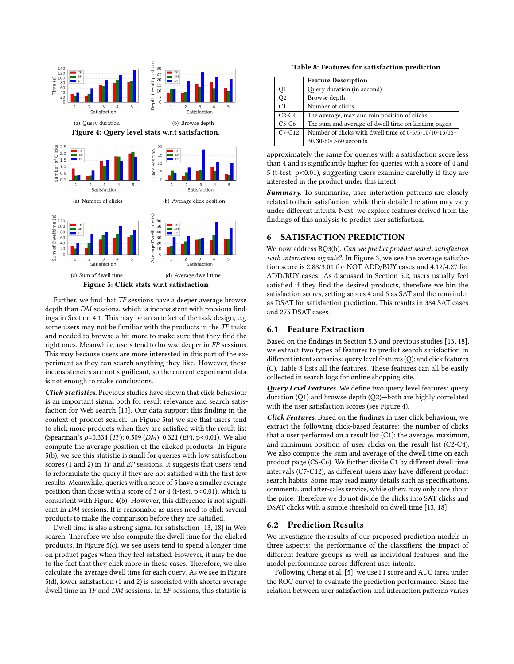<span id="page-6-8"></span><span id="page-6-3"></span><span id="page-6-2"></span><span id="page-6-1"></span>

<span id="page-6-6"></span><span id="page-6-5"></span>Further, we find that TF sessions have a deeper average browse depth than  $DM$  sessions, which is inconsistent with previous find-ings in Section [4.1.](#page-3-4) This may be an artefact of the task design, e.g. some users may not be familiar with the products in the TF tasks and needed to browse a bit more to make sure that they find the right ones. Meanwhile, users tend to browse deeper in EP sessions. This may because users are more interested in this part of the experiment as they can search anything they like. However, these inconsistencies are not significant, so the current experiment data is not enough to make conclusions.

Click Statistics. Previous studies have shown that click behaviour is an important signal both for result relevance and search satis-faction for Web search [\[13\]](#page-8-15). Our data support this finding in the context of product search. In Figure [5\(a\)](#page-6-3) we see that users tend to click more products when they are satisfied with the result list (Spearman's  $\rho$ =0.334 (TF); 0.509 (DM); 0.321 (EP), p<0.01). We also compute the average position of the clicked products. In Figure [5\(b\),](#page-6-4) we see this statistic is small for queries with low satisfaction scores (1 and 2) in TF and EP sessions. It suggests that users tend to reformulate the query if they are not satisfied with the first few results. Meanwhile, queries with a score of 5 have a smaller average position than those with a score of 3 or 4 (t-test,  $p$ <0.01), which is consistent with Figure  $4(b)$ . However, this difference is not significant in DM sessions. It is reasonable as users need to click several products to make the comparison before they are satisfied.

Dwell time is also a strong signal for satisfaction [\[13,](#page-8-15) [18\]](#page-8-23) in Web search. Therefore we also compute the dwell time for the clicked products. In Figure [5\(c\),](#page-6-5) we see users tend to spend a longer time on product pages when they feel satisfied. However, it may be due to the fact that they click more in these cases. Therefore, we also calculate the average dwell time for each query. As we see in Figure [5\(d\),](#page-6-6) lower satisfaction (1 and 2) is associated with shorter average dwell time in TF and DM sessions. In EP sessions, this statistic is

| Table 8: Features for satisfaction prediction. |
|------------------------------------------------|
|                                                |

<span id="page-6-7"></span>

|                | <b>Feature Description</b>                             |
|----------------|--------------------------------------------------------|
| Q1             | Query duration (in second)                             |
| Q <sub>2</sub> | Browse depth                                           |
| C <sub>1</sub> | Number of clicks                                       |
| $C2-C4$        | The average, max and min position of clicks            |
| $C5-C6$        | The sum and average of dwell time on landing pages     |
| $C7-C12$       | Number of clicks with dwell time of 0-5/5-10/10-15/15- |
|                | $30/30 - 60$ />60 seconds                              |

approximately the same for queries with a satisfaction score less than 4 and is signicantly higher for queries with a score of 4 and 5 (t-test, p<0.01), suggesting users examine carefully if they are interested in the product under this intent.

<span id="page-6-4"></span>Summary. To summarise, user interaction patterns are closely related to their satisfaction, while their detailed relation may vary under different intents. Next, we explore features derived from the findings of this analysis to predict user satisfaction.

# <span id="page-6-0"></span>6 SATISFACTION PREDICTION

We now address RQ3(b). Can we predict product search satisfaction with interaction signals?. In Figure [3,](#page-5-2) we see the average satisfaction score is 2.88/3.01 for NOT ADD/BUY cases and 4.12/4.27 for ADD/BUY cases. As discussed in Section [5.2,](#page-5-3) users usually feel satisfied if they find the desired products, therefore we bin the satisfaction scores, setting scores 4 and 5 as SAT and the remainder as DSAT for satisfaction prediction. This results in 384 SAT cases and 275 DSAT cases.

#### 6.1 Feature Extraction

Based on the findings in Section [5.3](#page-5-4) and previous studies [\[13,](#page-8-15) [18\]](#page-8-23), we extract two types of features to predict search satisfaction in different intent scenarios: query level features (Q); and click features (C). Table [8](#page-6-7) lists all the features. These features can all be easily collected in search logs for online shopping site.

Query Level Features. We define two query level features: query duration (Q1) and browse depth (Q2)—both are highly correlated with the user satisfaction scores (see Figure [4\)](#page-6-8).

Click Features. Based on the findings in user click behaviour, we extract the following click-based features: the number of clicks that a user performed on a result list (C1); the average, maximum, and minimum position of user clicks on the result list (C2-C4). We also compute the sum and average of the dwell time on each product page  $(C5-C6)$ . We further divide C1 by different dwell time intervals (C7-C12), as different users may have different product search habits. Some may read many details such as specifications, comments, and after-sales service, while others may only care about the price. Therefore we do not divide the clicks into SAT clicks and DSAT clicks with a simple threshold on dwell time [\[13,](#page-8-15) [18\]](#page-8-23).

## 6.2 Prediction Results

We investigate the results of our proposed prediction models in three aspects: the performance of the classifiers; the impact of different feature groups as well as individual features; and the model performance across different user intents.

Following Cheng et al. [\[5\]](#page-8-34), we use F1 score and AUC (area under the ROC curve) to evaluate the prediction performance. Since the relation between user satisfaction and interaction patterns varies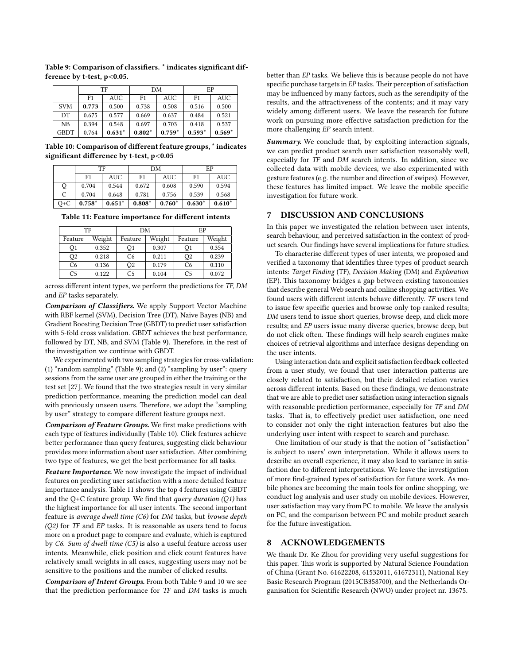|             |                                                  | TF       |          | DМ       |          | EP       |    |            |
|-------------|--------------------------------------------------|----------|----------|----------|----------|----------|----|------------|
|             | <b>AUC</b><br><b>AUC</b><br>F <sub>1</sub><br>F1 |          |          |          |          |          | F1 | <b>AUC</b> |
| <b>SVM</b>  | 0.773                                            | 0.500    | 0.738    | 0.508    | 0.516    | 0.500    |    |            |
| DT          | 0.675                                            | 0.577    | 0.669    | 0.637    | 0.484    | 0.521    |    |            |
| NB          | 0.394                                            | 0.548    | 0.697    | 0.703    | 0.418    | 0.537    |    |            |
| <b>GBDT</b> | 0.764                                            | $0.631*$ | $0.802*$ | $0.759*$ | $0.593*$ | $0.569*$ |    |            |

<span id="page-7-0"></span>Table 9: Comparison of classifiers. \* indicates significant difference by t-test, p<0.05.

<span id="page-7-1"></span>Table 10: Comparison of different feature groups, \* indicates significant difference by t-test, p<0.05

|         | TF       |          | DM       |          | EP       |          |
|---------|----------|----------|----------|----------|----------|----------|
|         | F1       | AUC      | F1       | AUC      | F1       | AUC      |
| Q       | 0.704    | 0.544    | 0.672    | 0.608    | 0.590    | 0.594    |
| С       | 0.704    | 0.648    | 0.781    | 0.756    | 0.539    | 0.568    |
| $O + C$ | $0.758*$ | $0.651*$ | $0.808*$ | $0.760*$ | $0.630*$ | $0.610*$ |

<span id="page-7-2"></span>Table 11: Feature importance for different intents

| TF             |        | DМ             |        | ЕP             |        |
|----------------|--------|----------------|--------|----------------|--------|
| Feature        | Weight | Feature        | Weight | Feature        | Weight |
| Q1             | 0.352  | Q1             | 0.307  | Q1             | 0.354  |
| Q <sub>2</sub> | 0.218  | C <sub>6</sub> | 0.211  | Q <sub>2</sub> | 0.239  |
| C6             | 0.136  | Q <sub>2</sub> | 0.179  | C <sub>6</sub> | 0.110  |
| C <sub>5</sub> | 0.122  | C5             | 0.104  | C <sub>5</sub> | 0.072  |

across different intent types, we perform the predictions for TF, DM and EP tasks separately.

Comparison of Classifiers. We apply Support Vector Machine with RBF kernel (SVM), Decision Tree (DT), Naive Bayes (NB) and Gradient Boosting Decision Tree (GBDT) to predict user satisfaction with 5-fold cross validation. GBDT achieves the best performance, followed by DT, NB, and SVM (Table [9\)](#page-7-0). Therefore, in the rest of the investigation we continue with GBDT.

We experimented with two sampling strategies for cross-validation: (1) "random sampling" (Table [9\)](#page-7-0); and (2) "sampling by user": query sessions from the same user are grouped in either the training or the test set [\[27\]](#page-8-35). We found that the two strategies result in very similar prediction performance, meaning the prediction model can deal with previously unseen users. Therefore, we adopt the "sampling by user" strategy to compare different feature groups next.

Comparison of Feature Groups. We first make predictions with each type of features individually (Table [10\)](#page-7-1). Click features achieve better performance than query features, suggesting click behaviour provides more information about user satisfaction. After combining two type of features, we get the best performance for all tasks.

Feature Importance. We now investigate the impact of individual features on predicting user satisfaction with a more detailed feature importance analysis. Table [11](#page-7-2) shows the top 4 features using GBDT and the Q+C feature group. We find that query duration  $(Q1)$  has the highest importance for all user intents. The second important feature is average dwell time (C6) for DM tasks, but browse depth  $(Q2)$  for TF and EP tasks. It is reasonable as users tend to focus more on a product page to compare and evaluate, which is captured by C6. Sum of dwell time (C5) is also a useful feature across user intents. Meanwhile, click position and click count features have relatively small weights in all cases, suggesting users may not be sensitive to the positions and the number of clicked results.

Comparison of Intent Groups. From both Table [9](#page-7-0) and [10](#page-7-1) we see that the prediction performance for TF and DM tasks is much better than EP tasks. We believe this is because people do not have specific purchase targets in  $EP$  tasks. Their perception of satisfaction may be influenced by many factors, such as the serendipity of the results, and the attractiveness of the contents; and it may vary widely among different users. We leave the research for future work on pursuing more effective satisfaction prediction for the more challenging EP search intent.

Summary. We conclude that, by exploiting interaction signals, we can predict product search user satisfaction reasonably well, especially for TF and DM search intents. In addition, since we collected data with mobile devices, we also experimented with gesture features (e.g. the number and direction of swipes). However, these features has limited impact. We leave the mobile specific investigation for future work.

## 7 DISCUSSION AND CONCLUSIONS

In this paper we investigated the relation between user intents, search behaviour, and perceived satisfaction in the context of product search. Our findings have several implications for future studies.

To characterise different types of user intents, we proposed and verified a taxonomy that identifies three types of product search intents: Target Finding (TF), Decision Making (DM) and Exploration (EP). This taxonomy bridges a gap between existing taxonomies that describe general Web search and online shopping activities. We found users with different intents behave differently. TF users tend to issue few specific queries and browse only top ranked results; DM users tend to issue short queries, browse deep, and click more results; and EP users issue many diverse queries, browse deep, but do not click often. These findings will help search engines make choices of retrieval algorithms and interface designs depending on the user intents.

Using interaction data and explicit satisfaction feedback collected from a user study, we found that user interaction patterns are closely related to satisfaction, but their detailed relation varies across different intents. Based on these findings, we demonstrate that we are able to predict user satisfaction using interaction signals with reasonable prediction performance, especially for TF and DM tasks. That is, to effectively predict user satisfaction, one need to consider not only the right interaction features but also the underlying user intent with respect to search and purchase.

One limitation of our study is that the notion of "satisfaction" is subject to users' own interpretation. While it allows users to describe an overall experience, it may also lead to variance in satisfaction due to different interpretations. We leave the investigation of more find-grained types of satisfaction for future work. As mobile phones are becoming the main tools for online shopping, we conduct log analysis and user study on mobile devices. However, user satisfaction may vary from PC to mobile. We leave the analysis on PC, and the comparison between PC and mobile product search for the future investigation.

## 8 ACKNOWLEDGEMENTS

We thank Dr. Ke Zhou for providing very useful suggestions for this paper. This work is supported by Natural Science Foundation of China (Grant No. 61622208, 61532011, 61672311), National Key Basic Research Program (2015CB358700), and the Netherlands Organisation for Scientific Research (NWO) under project nr. 13675.